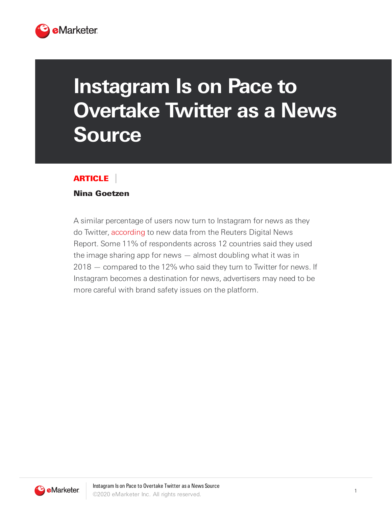

## **Instagram Is on Pace to Overtake Twitter as a News Source**

## ARTICLE

## Nina Goetzen

A similar percentage of users now turn to Instagram for news as they do Twitter, [according](https://reutersinstitute.politics.ox.ac.uk/sites/default/files/2020-06/DNR_2020_FINAL.pdf) to new data from the Reuters Digital News Report. Some 11% of respondents across 12 countries said they used the image sharing app for news — almost doubling what it was in 2018 — compared to the 12% who said they turn to Twitter for news. If Instagram becomes a destination for news, advertisers may need to be more careful with brand safety issues on the platform.

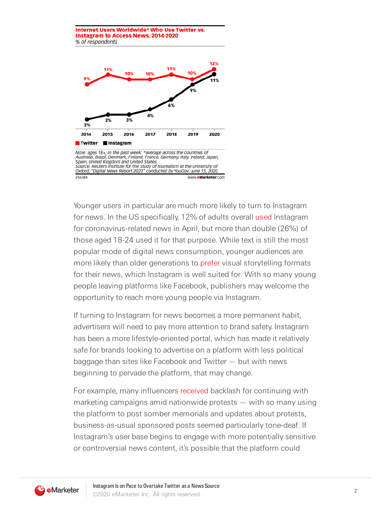

Younger users in particular are much more likely to turn to Instagram for news. In the US specifically, 12% of adults overall [used](https://reutersinstitute.politics.ox.ac.uk/infodemic-how-people-six-countries-access-and-rate-news-and-information-about-coronavirus) Instagram for coronavirus-related news in April, but more than double (26%) of those aged 18-24 used it for that purpose. While text is still the most popular mode of digital news consumption, younger audiences are more likely than older generations to [prefer](http://www.digitalnewsreport.org/survey/2019/how-younger-generations-consume-news-differently) visual storytelling formats for their news, which Instagram is well suited for. With so many young people leaving platforms like Facebook, publishers may welcome the opportunity to reach more young people via Instagram.

If turning to Instagram for news becomes a more permanent habit, advertisers will need to pay more attention to brand safety. Instagram has been a more lifestyle-oriented portal, which has made it relatively safe for brands looking to advertise on a platform with less political baggage than sites like Facebook and Twitter — but with news beginning to pervade the platform, that may change.

For example, many influencers [received](https://digiday.com/marketing/stand-for-something-as-protests-continue-tone-deaf-influencer-marketing-is-in-the-spotlight) backlash for continuing with marketing campaigns amid nationwide protests — with so many using the platform to post somber memorials and updates about protests, business-as-usual sponsored posts seemed particularly tone-deaf. If Instagram's user base begins to engage with more potentially sensitive or controversial news content, it's possible that the platform could